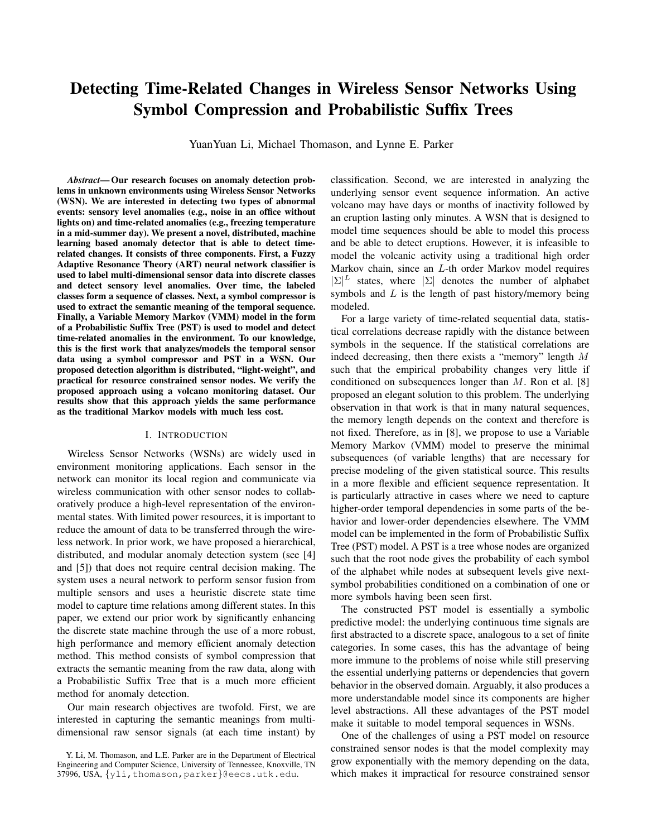# Detecting Time-Related Changes in Wireless Sensor Networks Using Symbol Compression and Probabilistic Suffix Trees

YuanYuan Li, Michael Thomason, and Lynne E. Parker

*Abstract*— Our research focuses on anomaly detection problems in unknown environments using Wireless Sensor Networks (WSN). We are interested in detecting two types of abnormal events: sensory level anomalies (e.g., noise in an office without lights on) and time-related anomalies (e.g., freezing temperature in a mid-summer day). We present a novel, distributed, machine learning based anomaly detector that is able to detect timerelated changes. It consists of three components. First, a Fuzzy Adaptive Resonance Theory (ART) neural network classifier is used to label multi-dimensional sensor data into discrete classes and detect sensory level anomalies. Over time, the labeled classes form a sequence of classes. Next, a symbol compressor is used to extract the semantic meaning of the temporal sequence. Finally, a Variable Memory Markov (VMM) model in the form of a Probabilistic Suffix Tree (PST) is used to model and detect time-related anomalies in the environment. To our knowledge, this is the first work that analyzes/models the temporal sensor data using a symbol compressor and PST in a WSN. Our proposed detection algorithm is distributed, "light-weight", and practical for resource constrained sensor nodes. We verify the proposed approach using a volcano monitoring dataset. Our results show that this approach yields the same performance as the traditional Markov models with much less cost.

## I. INTRODUCTION

Wireless Sensor Networks (WSNs) are widely used in environment monitoring applications. Each sensor in the network can monitor its local region and communicate via wireless communication with other sensor nodes to collaboratively produce a high-level representation of the environmental states. With limited power resources, it is important to reduce the amount of data to be transferred through the wireless network. In prior work, we have proposed a hierarchical, distributed, and modular anomaly detection system (see [4] and [5]) that does not require central decision making. The system uses a neural network to perform sensor fusion from multiple sensors and uses a heuristic discrete state time model to capture time relations among different states. In this paper, we extend our prior work by significantly enhancing the discrete state machine through the use of a more robust, high performance and memory efficient anomaly detection method. This method consists of symbol compression that extracts the semantic meaning from the raw data, along with a Probabilistic Suffix Tree that is a much more efficient method for anomaly detection.

Our main research objectives are twofold. First, we are interested in capturing the semantic meanings from multidimensional raw sensor signals (at each time instant) by classification. Second, we are interested in analyzing the underlying sensor event sequence information. An active volcano may have days or months of inactivity followed by an eruption lasting only minutes. A WSN that is designed to model time sequences should be able to model this process and be able to detect eruptions. However, it is infeasible to model the volcanic activity using a traditional high order Markov chain, since an *L*-th order Markov model requires *|*Σ*| <sup>L</sup>* states, where *|*Σ*|* denotes the number of alphabet symbols and *L* is the length of past history/memory being modeled.

For a large variety of time-related sequential data, statistical correlations decrease rapidly with the distance between symbols in the sequence. If the statistical correlations are indeed decreasing, then there exists a "memory" length *M* such that the empirical probability changes very little if conditioned on subsequences longer than *M*. Ron et al. [8] proposed an elegant solution to this problem. The underlying observation in that work is that in many natural sequences, the memory length depends on the context and therefore is not fixed. Therefore, as in [8], we propose to use a Variable Memory Markov (VMM) model to preserve the minimal subsequences (of variable lengths) that are necessary for precise modeling of the given statistical source. This results in a more flexible and efficient sequence representation. It is particularly attractive in cases where we need to capture higher-order temporal dependencies in some parts of the behavior and lower-order dependencies elsewhere. The VMM model can be implemented in the form of Probabilistic Suffix Tree (PST) model. A PST is a tree whose nodes are organized such that the root node gives the probability of each symbol of the alphabet while nodes at subsequent levels give nextsymbol probabilities conditioned on a combination of one or more symbols having been seen first.

The constructed PST model is essentially a symbolic predictive model: the underlying continuous time signals are first abstracted to a discrete space, analogous to a set of finite categories. In some cases, this has the advantage of being more immune to the problems of noise while still preserving the essential underlying patterns or dependencies that govern behavior in the observed domain. Arguably, it also produces a more understandable model since its components are higher level abstractions. All these advantages of the PST model make it suitable to model temporal sequences in WSNs.

One of the challenges of using a PST model on resource constrained sensor nodes is that the model complexity may grow exponentially with the memory depending on the data, which makes it impractical for resource constrained sensor

Y. Li, M. Thomason, and L.E. Parker are in the Department of Electrical Engineering and Computer Science, University of Tennessee, Knoxville, TN 37996, USA, *{*yli,thomason,parker*}*@eecs.utk.edu.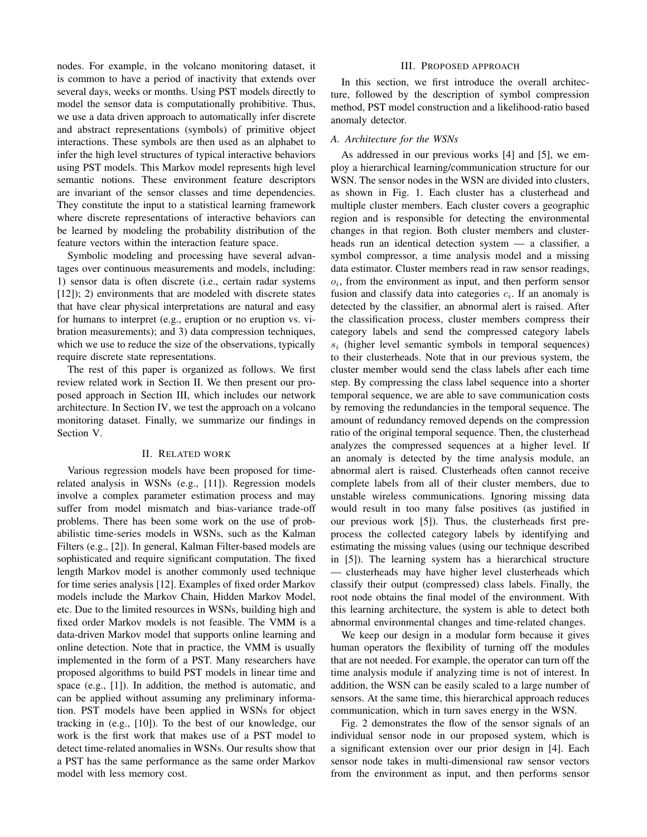nodes. For example, in the volcano monitoring dataset, it is common to have a period of inactivity that extends over several days, weeks or months. Using PST models directly to model the sensor data is computationally prohibitive. Thus, we use a data driven approach to automatically infer discrete and abstract representations (symbols) of primitive object interactions. These symbols are then used as an alphabet to infer the high level structures of typical interactive behaviors using PST models. This Markov model represents high level semantic notions. These environment feature descriptors are invariant of the sensor classes and time dependencies. They constitute the input to a statistical learning framework where discrete representations of interactive behaviors can be learned by modeling the probability distribution of the feature vectors within the interaction feature space.

Symbolic modeling and processing have several advantages over continuous measurements and models, including: 1) sensor data is often discrete (i.e., certain radar systems [12]); 2) environments that are modeled with discrete states that have clear physical interpretations are natural and easy for humans to interpret (e.g., eruption or no eruption vs. vibration measurements); and 3) data compression techniques, which we use to reduce the size of the observations, typically require discrete state representations.

The rest of this paper is organized as follows. We first review related work in Section II. We then present our proposed approach in Section III, which includes our network architecture. In Section IV, we test the approach on a volcano monitoring dataset. Finally, we summarize our findings in Section V.

## II. RELATED WORK

Various regression models have been proposed for timerelated analysis in WSNs (e.g., [11]). Regression models involve a complex parameter estimation process and may suffer from model mismatch and bias-variance trade-off problems. There has been some work on the use of probabilistic time-series models in WSNs, such as the Kalman Filters (e.g., [2]). In general, Kalman Filter-based models are sophisticated and require significant computation. The fixed length Markov model is another commonly used technique for time series analysis [12]. Examples of fixed order Markov models include the Markov Chain, Hidden Markov Model, etc. Due to the limited resources in WSNs, building high and fixed order Markov models is not feasible. The VMM is a data-driven Markov model that supports online learning and online detection. Note that in practice, the VMM is usually implemented in the form of a PST. Many researchers have proposed algorithms to build PST models in linear time and space (e.g., [1]). In addition, the method is automatic, and can be applied without assuming any preliminary information. PST models have been applied in WSNs for object tracking in (e.g., [10]). To the best of our knowledge, our work is the first work that makes use of a PST model to detect time-related anomalies in WSNs. Our results show that a PST has the same performance as the same order Markov model with less memory cost.

## III. PROPOSED APPROACH

In this section, we first introduce the overall architecture, followed by the description of symbol compression method, PST model construction and a likelihood-ratio based anomaly detector.

# *A. Architecture for the WSNs*

As addressed in our previous works [4] and [5], we employ a hierarchical learning/communication structure for our WSN. The sensor nodes in the WSN are divided into clusters, as shown in Fig. 1. Each cluster has a clusterhead and multiple cluster members. Each cluster covers a geographic region and is responsible for detecting the environmental changes in that region. Both cluster members and clusterheads run an identical detection system — a classifier, a symbol compressor, a time analysis model and a missing data estimator. Cluster members read in raw sensor readings,  $o_i$ , from the environment as input, and then perform sensor fusion and classify data into categories  $c_i$ . If an anomaly is detected by the classifier, an abnormal alert is raised. After the classification process, cluster members compress their category labels and send the compressed category labels  $s_i$  (higher level semantic symbols in temporal sequences) to their clusterheads. Note that in our previous system, the cluster member would send the class labels after each time step. By compressing the class label sequence into a shorter temporal sequence, we are able to save communication costs by removing the redundancies in the temporal sequence. The amount of redundancy removed depends on the compression ratio of the original temporal sequence. Then, the clusterhead analyzes the compressed sequences at a higher level. If an anomaly is detected by the time analysis module, an abnormal alert is raised. Clusterheads often cannot receive complete labels from all of their cluster members, due to unstable wireless communications. Ignoring missing data would result in too many false positives (as justified in our previous work [5]). Thus, the clusterheads first preprocess the collected category labels by identifying and estimating the missing values (using our technique described in [5]). The learning system has a hierarchical structure — clusterheads may have higher level clusterheads which classify their output (compressed) class labels. Finally, the root node obtains the final model of the environment. With this learning architecture, the system is able to detect both abnormal environmental changes and time-related changes.

We keep our design in a modular form because it gives human operators the flexibility of turning off the modules that are not needed. For example, the operator can turn off the time analysis module if analyzing time is not of interest. In addition, the WSN can be easily scaled to a large number of sensors. At the same time, this hierarchical approach reduces communication, which in turn saves energy in the WSN.

Fig. 2 demonstrates the flow of the sensor signals of an individual sensor node in our proposed system, which is a significant extension over our prior design in [4]. Each sensor node takes in multi-dimensional raw sensor vectors from the environment as input, and then performs sensor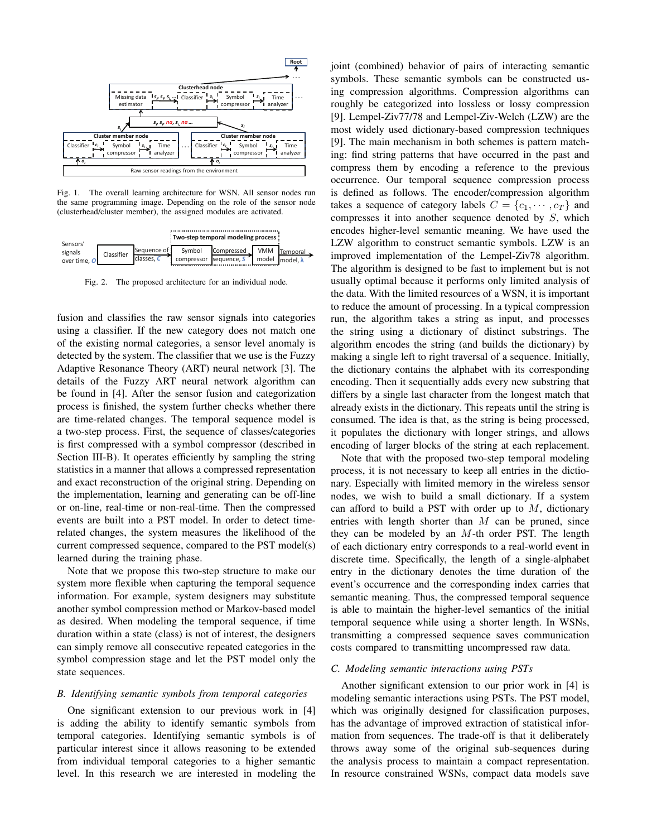

Fig. 1. The overall learning architecture for WSN. All sensor nodes run the same programming image. Depending on the role of the sensor node (clusterhead/cluster member), the assigned modules are activated.

| Sensors'                |            |                              | : Two-step temporal modeling process : |                           |            |                                     |
|-------------------------|------------|------------------------------|----------------------------------------|---------------------------|------------|-------------------------------------|
| signals<br>over time, O | Classifier | Sequence of 1<br>Iclasses. C | Symbol<br>compressor                   | Compressed<br>sequence, S | <b>VMM</b> | Temporal<br>model $Imodel, \lambda$ |

Fig. 2. The proposed architecture for an individual node.

fusion and classifies the raw sensor signals into categories using a classifier. If the new category does not match one of the existing normal categories, a sensor level anomaly is detected by the system. The classifier that we use is the Fuzzy Adaptive Resonance Theory (ART) neural network [3]. The details of the Fuzzy ART neural network algorithm can be found in [4]. After the sensor fusion and categorization process is finished, the system further checks whether there are time-related changes. The temporal sequence model is a two-step process. First, the sequence of classes/categories is first compressed with a symbol compressor (described in Section III-B). It operates efficiently by sampling the string statistics in a manner that allows a compressed representation and exact reconstruction of the original string. Depending on the implementation, learning and generating can be off-line or on-line, real-time or non-real-time. Then the compressed events are built into a PST model. In order to detect timerelated changes, the system measures the likelihood of the current compressed sequence, compared to the PST model(s) learned during the training phase.

Note that we propose this two-step structure to make our system more flexible when capturing the temporal sequence information. For example, system designers may substitute another symbol compression method or Markov-based model as desired. When modeling the temporal sequence, if time duration within a state (class) is not of interest, the designers can simply remove all consecutive repeated categories in the symbol compression stage and let the PST model only the state sequences.

#### *B. Identifying semantic symbols from temporal categories*

One significant extension to our previous work in [4] is adding the ability to identify semantic symbols from temporal categories. Identifying semantic symbols is of particular interest since it allows reasoning to be extended from individual temporal categories to a higher semantic level. In this research we are interested in modeling the

joint (combined) behavior of pairs of interacting semantic symbols. These semantic symbols can be constructed using compression algorithms. Compression algorithms can roughly be categorized into lossless or lossy compression [9]. Lempel-Ziv77/78 and Lempel-Ziv-Welch (LZW) are the most widely used dictionary-based compression techniques [9]. The main mechanism in both schemes is pattern matching: find string patterns that have occurred in the past and compress them by encoding a reference to the previous occurrence. Our temporal sequence compression process is defined as follows. The encoder/compression algorithm takes a sequence of category labels  $C = \{c_1, \dots, c_T\}$  and compresses it into another sequence denoted by *S*, which encodes higher-level semantic meaning. We have used the LZW algorithm to construct semantic symbols. LZW is an improved implementation of the Lempel-Ziv78 algorithm. The algorithm is designed to be fast to implement but is not usually optimal because it performs only limited analysis of the data. With the limited resources of a WSN, it is important to reduce the amount of processing. In a typical compression run, the algorithm takes a string as input, and processes the string using a dictionary of distinct substrings. The algorithm encodes the string (and builds the dictionary) by making a single left to right traversal of a sequence. Initially, the dictionary contains the alphabet with its corresponding encoding. Then it sequentially adds every new substring that differs by a single last character from the longest match that already exists in the dictionary. This repeats until the string is consumed. The idea is that, as the string is being processed, it populates the dictionary with longer strings, and allows encoding of larger blocks of the string at each replacement.

Note that with the proposed two-step temporal modeling process, it is not necessary to keep all entries in the dictionary. Especially with limited memory in the wireless sensor nodes, we wish to build a small dictionary. If a system can afford to build a PST with order up to *M*, dictionary entries with length shorter than *M* can be pruned, since they can be modeled by an *M*-th order PST. The length of each dictionary entry corresponds to a real-world event in discrete time. Specifically, the length of a single-alphabet entry in the dictionary denotes the time duration of the event's occurrence and the corresponding index carries that semantic meaning. Thus, the compressed temporal sequence is able to maintain the higher-level semantics of the initial temporal sequence while using a shorter length. In WSNs, transmitting a compressed sequence saves communication costs compared to transmitting uncompressed raw data.

#### *C. Modeling semantic interactions using PSTs*

Another significant extension to our prior work in [4] is modeling semantic interactions using PSTs. The PST model, which was originally designed for classification purposes, has the advantage of improved extraction of statistical information from sequences. The trade-off is that it deliberately throws away some of the original sub-sequences during the analysis process to maintain a compact representation. In resource constrained WSNs, compact data models save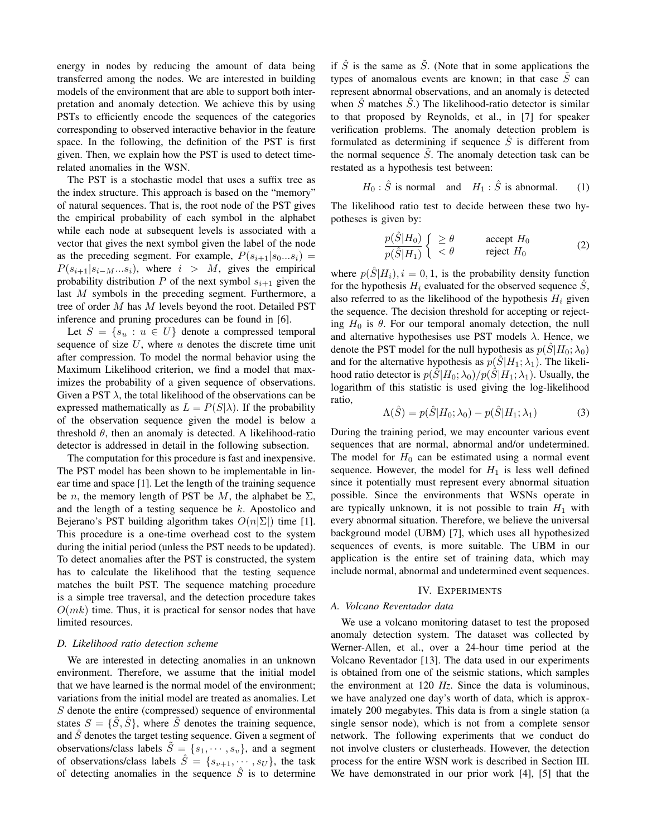energy in nodes by reducing the amount of data being transferred among the nodes. We are interested in building models of the environment that are able to support both interpretation and anomaly detection. We achieve this by using PSTs to efficiently encode the sequences of the categories corresponding to observed interactive behavior in the feature space. In the following, the definition of the PST is first given. Then, we explain how the PST is used to detect timerelated anomalies in the WSN.

The PST is a stochastic model that uses a suffix tree as the index structure. This approach is based on the "memory" of natural sequences. That is, the root node of the PST gives the empirical probability of each symbol in the alphabet while each node at subsequent levels is associated with a vector that gives the next symbol given the label of the node as the preceding segment. For example,  $P(s_{i+1}|s_0...s_i)$  =  $P(s_{i+1}|s_{i-M}...s_i)$ , where  $i > M$ , gives the empirical probability distribution *P* of the next symbol  $s_{i+1}$  given the last *M* symbols in the preceding segment. Furthermore, a tree of order *M* has *M* levels beyond the root. Detailed PST inference and pruning procedures can be found in [6].

Let  $S = \{s_u : u \in U\}$  denote a compressed temporal sequence of size *U*, where *u* denotes the discrete time unit after compression. To model the normal behavior using the Maximum Likelihood criterion, we find a model that maximizes the probability of a given sequence of observations. Given a PST  $\lambda$ , the total likelihood of the observations can be expressed mathematically as  $L = P(S|\lambda)$ . If the probability of the observation sequence given the model is below a threshold  $\theta$ , then an anomaly is detected. A likelihood-ratio detector is addressed in detail in the following subsection.

The computation for this procedure is fast and inexpensive. The PST model has been shown to be implementable in linear time and space [1]. Let the length of the training sequence be *n*, the memory length of PST be *M*, the alphabet be  $\Sigma$ , and the length of a testing sequence be *k*. Apostolico and Bejerano's PST building algorithm takes  $O(n|\Sigma|)$  time [1]. This procedure is a one-time overhead cost to the system during the initial period (unless the PST needs to be updated). To detect anomalies after the PST is constructed, the system has to calculate the likelihood that the testing sequence matches the built PST. The sequence matching procedure is a simple tree traversal, and the detection procedure takes *O*(*mk*) time. Thus, it is practical for sensor nodes that have limited resources.

## *D. Likelihood ratio detection scheme*

We are interested in detecting anomalies in an unknown environment. Therefore, we assume that the initial model that we have learned is the normal model of the environment; variations from the initial model are treated as anomalies. Let *S* denote the entire (compressed) sequence of environmental states  $S = \{\tilde{S}, \tilde{S}\}\$ , where  $\tilde{S}$  denotes the training sequence, and  $\hat{S}$  denotes the target testing sequence. Given a segment of observations/class labels  $\tilde{S} = \{s_1, \dots, s_v\}$ , and a segment of observations/class labels  $\hat{S} = \{s_{v+1}, \dots, s_U\}$ , the task of detecting anomalies in the sequence  $\hat{S}$  is to determine if  $\hat{S}$  is the same as  $\tilde{S}$ . (Note that in some applications the types of anomalous events are known; in that case *S*˜ can represent abnormal observations, and an anomaly is detected when  $\hat{S}$  matches  $\tilde{S}$ .) The likelihood-ratio detector is similar to that proposed by Reynolds, et al., in [7] for speaker verification problems. The anomaly detection problem is formulated as determining if sequence *S*ˆ is different from the normal sequence  $\tilde{S}$ . The anomaly detection task can be restated as a hypothesis test between:

$$
H_0: \hat{S} \text{ is normal and } H_1: \hat{S} \text{ is abnormal.} \qquad (1)
$$

The likelihood ratio test to decide between these two hypotheses is given by:

$$
\frac{p(\hat{S}|H_0)}{p(\hat{S}|H_1)} \begin{cases} \geq \theta & \text{accept } H_0 \\ < \theta & \text{reject } H_0 \end{cases}
$$
 (2)

where  $p(\hat{S}|H_i)$ ,  $i = 0, 1$ , is the probability density function for the hypothesis  $H_i$  evaluated for the observed sequence  $\hat{S}$ , also referred to as the likelihood of the hypothesis  $H_i$  given the sequence. The decision threshold for accepting or rejecting  $H_0$  is  $\theta$ . For our temporal anomaly detection, the null and alternative hypothesises use PST models *λ*. Hence, we denote the PST model for the null hypothesis as  $p(S|H_0; \lambda_0)$ and for the alternative hypothesis as  $p(S|H_1; \lambda_1)$ . The likelihood ratio detector is  $p(S|H_0; \lambda_0)/p(S|H_1; \lambda_1)$ . Usually, the logarithm of this statistic is used giving the log-likelihood ratio,

$$
\Lambda(\hat{S}) = p(\hat{S}|H_0; \lambda_0) - p(\hat{S}|H_1; \lambda_1)
$$
\n(3)

During the training period, we may encounter various event sequences that are normal, abnormal and/or undetermined. The model for  $H_0$  can be estimated using a normal event sequence. However, the model for  $H_1$  is less well defined since it potentially must represent every abnormal situation possible. Since the environments that WSNs operate in are typically unknown, it is not possible to train  $H_1$  with every abnormal situation. Therefore, we believe the universal background model (UBM) [7], which uses all hypothesized sequences of events, is more suitable. The UBM in our application is the entire set of training data, which may include normal, abnormal and undetermined event sequences.

## IV. EXPERIMENTS

# *A. Volcano Reventador data*

We use a volcano monitoring dataset to test the proposed anomaly detection system. The dataset was collected by Werner-Allen, et al., over a 24-hour time period at the Volcano Reventador [13]. The data used in our experiments is obtained from one of the seismic stations, which samples the environment at 120 *Hz*. Since the data is voluminous, we have analyzed one day's worth of data, which is approximately 200 megabytes. This data is from a single station (a single sensor node), which is not from a complete sensor network. The following experiments that we conduct do not involve clusters or clusterheads. However, the detection process for the entire WSN work is described in Section III. We have demonstrated in our prior work [4], [5] that the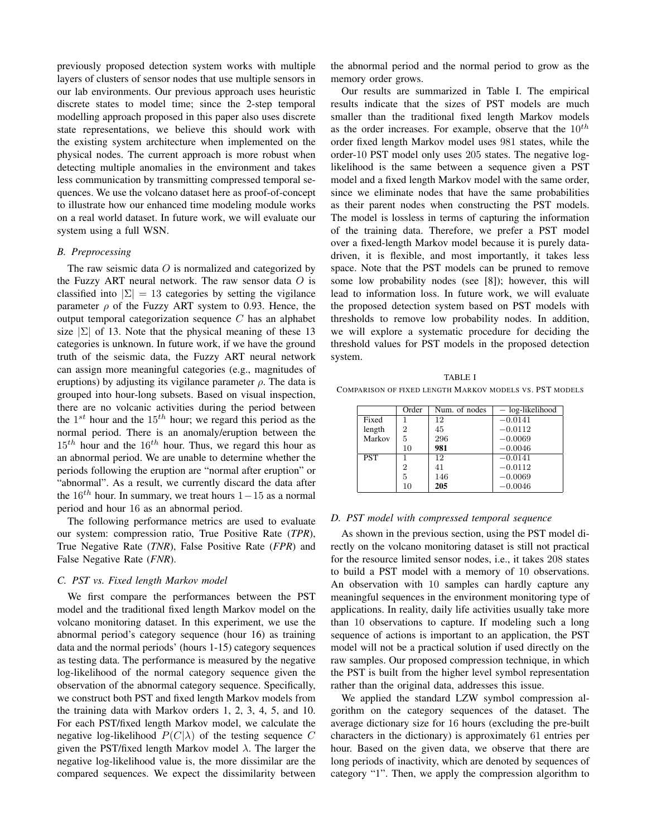previously proposed detection system works with multiple layers of clusters of sensor nodes that use multiple sensors in our lab environments. Our previous approach uses heuristic discrete states to model time; since the 2-step temporal modelling approach proposed in this paper also uses discrete state representations, we believe this should work with the existing system architecture when implemented on the physical nodes. The current approach is more robust when detecting multiple anomalies in the environment and takes less communication by transmitting compressed temporal sequences. We use the volcano dataset here as proof-of-concept to illustrate how our enhanced time modeling module works on a real world dataset. In future work, we will evaluate our system using a full WSN.

# *B. Preprocessing*

The raw seismic data *O* is normalized and categorized by the Fuzzy ART neural network. The raw sensor data *O* is classified into  $|\Sigma| = 13$  categories by setting the vigilance parameter  $\rho$  of the Fuzzy ART system to 0.93. Hence, the output temporal categorization sequence *C* has an alphabet size *|*Σ*|* of 13. Note that the physical meaning of these 13 categories is unknown. In future work, if we have the ground truth of the seismic data, the Fuzzy ART neural network can assign more meaningful categories (e.g., magnitudes of eruptions) by adjusting its vigilance parameter *ρ*. The data is grouped into hour-long subsets. Based on visual inspection, there are no volcanic activities during the period between the 1 *st* hour and the 15*th* hour; we regard this period as the normal period. There is an anomaly/eruption between the 15*th* hour and the 16*th* hour. Thus, we regard this hour as an abnormal period. We are unable to determine whether the periods following the eruption are "normal after eruption" or "abnormal". As a result, we currently discard the data after the 16*th* hour. In summary, we treat hours 1*−*15 as a normal period and hour 16 as an abnormal period.

The following performance metrics are used to evaluate our system: compression ratio, True Positive Rate (*TPR*), True Negative Rate (*TNR*), False Positive Rate (*FPR*) and False Negative Rate (*FNR*).

## *C. PST vs. Fixed length Markov model*

We first compare the performances between the PST model and the traditional fixed length Markov model on the volcano monitoring dataset. In this experiment, we use the abnormal period's category sequence (hour 16) as training data and the normal periods' (hours 1-15) category sequences as testing data. The performance is measured by the negative log-likelihood of the normal category sequence given the observation of the abnormal category sequence. Specifically, we construct both PST and fixed length Markov models from the training data with Markov orders 1, 2, 3, 4, 5, and 10. For each PST/fixed length Markov model, we calculate the negative log-likelihood  $P(C|\lambda)$  of the testing sequence C given the PST/fixed length Markov model *λ*. The larger the negative log-likelihood value is, the more dissimilar are the compared sequences. We expect the dissimilarity between the abnormal period and the normal period to grow as the memory order grows.

Our results are summarized in Table I. The empirical results indicate that the sizes of PST models are much smaller than the traditional fixed length Markov models as the order increases. For example, observe that the 10*th* order fixed length Markov model uses 981 states, while the order-10 PST model only uses 205 states. The negative loglikelihood is the same between a sequence given a PST model and a fixed length Markov model with the same order, since we eliminate nodes that have the same probabilities as their parent nodes when constructing the PST models. The model is lossless in terms of capturing the information of the training data. Therefore, we prefer a PST model over a fixed-length Markov model because it is purely datadriven, it is flexible, and most importantly, it takes less space. Note that the PST models can be pruned to remove some low probability nodes (see [8]); however, this will lead to information loss. In future work, we will evaluate the proposed detection system based on PST models with thresholds to remove low probability nodes. In addition, we will explore a systematic procedure for deciding the threshold values for PST models in the proposed detection system.

TABLE I COMPARISON OF FIXED LENGTH MARKOV MODELS VS. PST MODELS

|            | Order          | Num. of nodes | - log-likelihood |
|------------|----------------|---------------|------------------|
| Fixed      |                | 12            | $-0.0141$        |
| length     | 2              | 45            | $-0.0112$        |
| Markov     | 5              | 296           | $-0.0069$        |
|            | 10             | 981           | $-0.0046$        |
| <b>PST</b> |                | 12            | $-0.0141$        |
|            | $\overline{2}$ | 41            | $-0.0112$        |
|            | 5              | 146           | $-0.0069$        |
|            | 10             | 205           | $-0.0046$        |

#### *D. PST model with compressed temporal sequence*

As shown in the previous section, using the PST model directly on the volcano monitoring dataset is still not practical for the resource limited sensor nodes, i.e., it takes 208 states to build a PST model with a memory of 10 observations. An observation with 10 samples can hardly capture any meaningful sequences in the environment monitoring type of applications. In reality, daily life activities usually take more than 10 observations to capture. If modeling such a long sequence of actions is important to an application, the PST model will not be a practical solution if used directly on the raw samples. Our proposed compression technique, in which the PST is built from the higher level symbol representation rather than the original data, addresses this issue.

We applied the standard LZW symbol compression algorithm on the category sequences of the dataset. The average dictionary size for 16 hours (excluding the pre-built characters in the dictionary) is approximately 61 entries per hour. Based on the given data, we observe that there are long periods of inactivity, which are denoted by sequences of category "1". Then, we apply the compression algorithm to